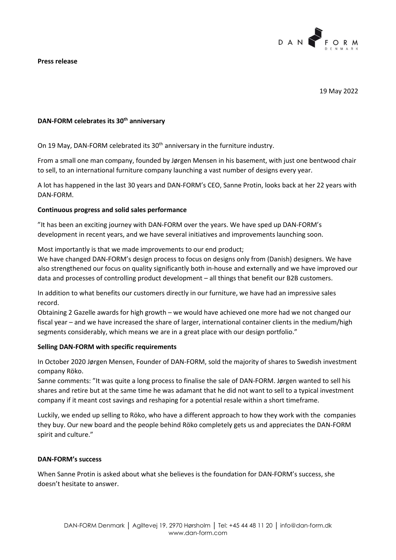

#### **Press release**

19 May 2022

# **DAN-FORM celebrates its 30th anniversary**

On 19 May, DAN-FORM celebrated its 30<sup>th</sup> anniversary in the furniture industry.

From a small one man company, founded by Jørgen Mensen in his basement, with just one bentwood chair to sell, to an international furniture company launching a vast number of designs every year.

A lot has happened in the last 30 years and DAN-FORM's CEO, Sanne Protin, looks back at her 22 years with DAN-FORM.

### **Continuous progress and solid sales performance**

"It has been an exciting journey with DAN-FORM over the years. We have sped up DAN-FORM's development in recent years, and we have several initiatives and improvements launching soon.

Most importantly is that we made improvements to our end product;

We have changed DAN-FORM's design process to focus on designs only from (Danish) designers. We have also strengthened our focus on quality significantly both in-house and externally and we have improved our data and processes of controlling product development – all things that benefit our B2B customers.

In addition to what benefits our customers directly in our furniture, we have had an impressive sales record.

Obtaining 2 Gazelle awards for high growth – we would have achieved one more had we not changed our fiscal year – and we have increased the share of larger, international container clients in the medium/high segments considerably, which means we are in a great place with our design portfolio."

#### **Selling DAN-FORM with specific requirements**

In October 2020 Jørgen Mensen, Founder of DAN-FORM, sold the majority of shares to Swedish investment company Röko.

Sanne comments: "It was quite a long process to finalise the sale of DAN-FORM. Jørgen wanted to sell his shares and retire but at the same time he was adamant that he did not want to sell to a typical investment company if it meant cost savings and reshaping for a potential resale within a short timeframe.

Luckily, we ended up selling to Röko, who have a different approach to how they work with the companies they buy. Our new board and the people behind Röko completely gets us and appreciates the DAN-FORM spirit and culture."

#### **DAN-FORM's success**

When Sanne Protin is asked about what she believes is the foundation for DAN-FORM's success, she doesn't hesitate to answer.